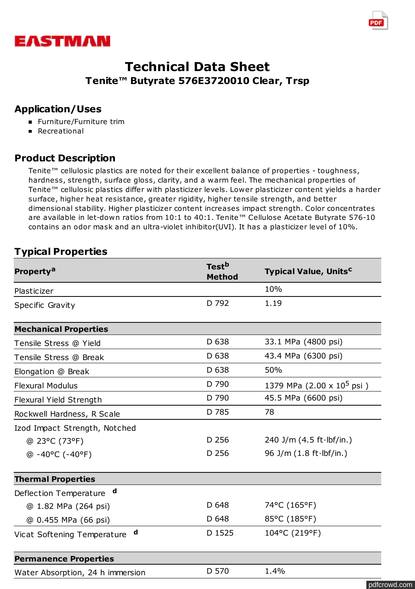



### **Application/Uses**

- **Furniture/Furniture trim**
- **Recreational**

## **Product Description**

Tenite™ cellulosic plastics are noted for their excellent balance of properties - toughness, hardness, strength, surface gloss, clarity, and a warm feel. The mechanical properties of Tenite™ cellulosic plastics differ with plasticizer levels. Lower plasticizer content yields a harder surface, higher heat resistance, greater rigidity, higher tensile strength, and better dimensional stability. Higher plasticizer content increases impact strength. Color concentrates are available in let-down ratios from 10:1 to 40:1. Tenite™ Cellulose Acetate Butyrate 576-10 contains an odor mask and an ultra-violet inhibitor(UVI). It has a plasticizer level of 10%.

# **Typical Properties**

| <b>Property<sup>a</sup></b>      | Test <sup>b</sup><br><b>Method</b> | <b>Typical Value, Units<sup>c</sup></b>    |  |
|----------------------------------|------------------------------------|--------------------------------------------|--|
| Plasticizer                      |                                    | 10%                                        |  |
| Specific Gravity                 | D 792                              | 1.19                                       |  |
| <b>Mechanical Properties</b>     |                                    |                                            |  |
| Tensile Stress @ Yield           | D 638                              | 33.1 MPa (4800 psi)                        |  |
| Tensile Stress @ Break           | D 638                              | 43.4 MPa (6300 psi)                        |  |
| Elongation @ Break               | D 638                              | 50%                                        |  |
| <b>Flexural Modulus</b>          | D 790                              | 1379 MPa $(2.00 \times 10^5 \,\text{psi})$ |  |
| Flexural Yield Strength          | D 790                              | 45.5 MPa (6600 psi)                        |  |
| Rockwell Hardness, R Scale       | D 785                              | 78                                         |  |
| Izod Impact Strength, Notched    |                                    |                                            |  |
| @ 23°C (73°F)                    | D 256                              | 240 J/m $(4.5 ft·lbf/in.)$                 |  |
| $@ - 40°C (-40°F)$               | D 256                              | 96 J/m $(1.8 ft·lbf/in.)$                  |  |
| <b>Thermal Properties</b>        |                                    |                                            |  |
| d<br>Deflection Temperature      |                                    |                                            |  |
| @ 1.82 MPa (264 psi)             | D 648                              | 74°C (165°F)                               |  |
| @ 0.455 MPa (66 psi)             | D 648                              | 85°C (185°F)                               |  |
| d<br>Vicat Softening Temperature | D 1525                             | 104°C (219°F)                              |  |
| <b>Permanence Properties</b>     |                                    |                                            |  |
| Water Absorption, 24 h immersion | D 570                              | 1.4%                                       |  |